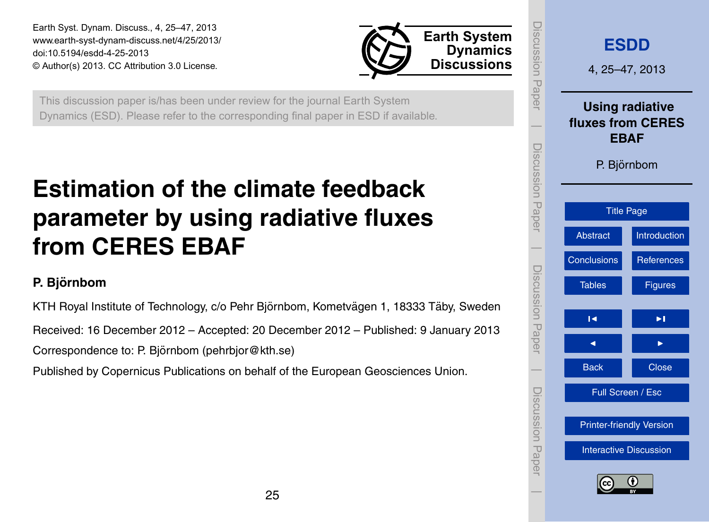<span id="page-0-0"></span>Earth Syst. Dynam. Discuss., 4, 25–47, 2013 www.earth-syst-dynam-discuss.net/4/25/2013/ doi:10.5194/esdd-4-25-2013 © Author(s) 2013. CC Attribution 3.0 License.



This discussion paper is/has been under review for the journal Earth System Dynamics (ESD). Please refer to the corresponding final paper in ESD if available.

# **Estimation of the climate feedback parameter by using radiative fluxes from CERES EBAF**

# **P. Bjornbom ¨**

KTH Royal Institute of Technology, c/o Pehr Björnbom, Kometvägen 1, 18333 Täby, Sweden Received: 16 December 2012 – Accepted: 20 December 2012 – Published: 9 January 2013 Correspondence to: P. Björnbom (pehrbjor@kth.se)

Published by Copernicus Publications on behalf of the European Geosciences Union.

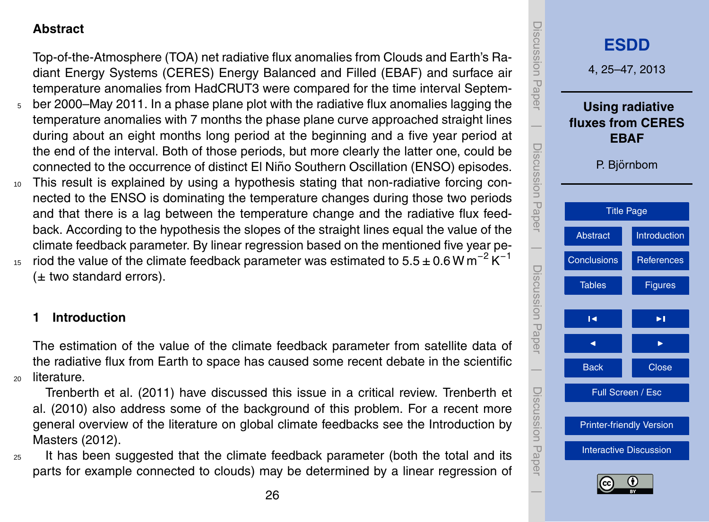### <span id="page-1-0"></span>**Abstract**

Top-of-the-Atmosphere (TOA) net radiative flux anomalies from Clouds and Earth's Radiant Energy Systems (CERES) Energy Balanced and Filled (EBAF) and surface air temperature anomalies from HadCRUT3 were compared for the time interval Septem-

- $5<sub>5</sub>$  ber 2000–May 2011. In a phase plane plot with the radiative flux anomalies lagging the temperature anomalies with 7 months the phase plane curve approached straight lines during about an eight months long period at the beginning and a five year period at the end of the interval. Both of those periods, but more clearly the latter one, could be connected to the occurrence of distinct El Nino Southern Oscillation (ENSO) episodes. ˜
- <sup>10</sup> This result is explained by using a hypothesis stating that non-radiative forcing connected to the ENSO is dominating the temperature changes during those two periods and that there is a lag between the temperature change and the radiative flux feedback. According to the hypothesis the slopes of the straight lines equal the value of the climate feedback parameter. By linear regression based on the mentioned five year pe-
- riod the value of the climate feedback parameter was estimated to  $5.5 \pm 0.6$  W m<sup>-2</sup> K<sup>-1</sup> 15  $(\pm$  two standard errors).

## **1 Introduction**

The estimation of the value of the climate feedback parameter from satellite data of the radiative flux from Earth to space has caused some recent debate in the scientific <sup>20</sup> literature.

[Trenberth et al.](#page-18-0) [\(2011\)](#page-18-0) have discussed this issue in a critical review. [Trenberth et](#page-18-0) [al.](#page-18-0) [\(2010\)](#page-18-0) also address some of the background of this problem. For a recent more general overview of the literature on global climate feedbacks see the Introduction by [Masters](#page-17-0) [\(2012\)](#page-17-0).

<sup>25</sup> It has been suggested that the climate feedback parameter (both the total and its parts for example connected to clouds) may be determined by a linear regression of

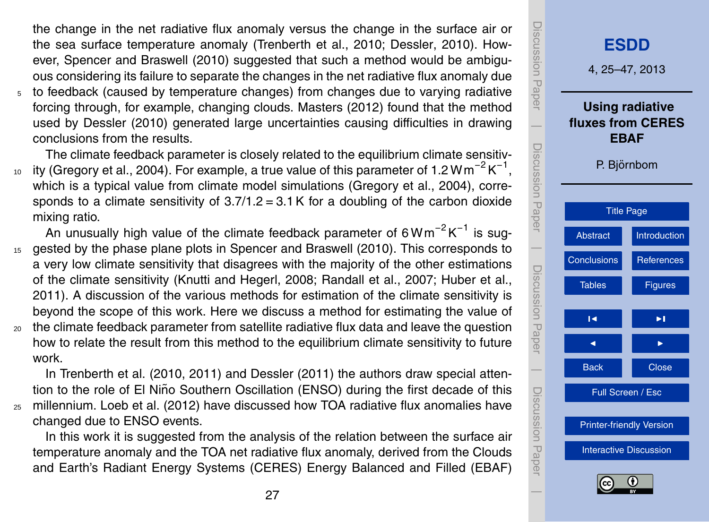<span id="page-2-0"></span>the change in the net radiative flux anomaly versus the change in the surface air or the sea surface temperature anomaly [\(Trenberth et al.,](#page-18-0) [2010;](#page-18-0) [Dessler,](#page-16-0) [2010\)](#page-16-0). However, [Spencer and Braswell](#page-17-0) [\(2010\)](#page-17-0) suggested that such a method would be ambiguous considering its failure to separate the changes in the net radiative flux anomaly due

<sup>5</sup> to feedback (caused by temperature changes) from changes due to varying radiative forcing through, for example, changing clouds. [Masters](#page-17-0) [\(2012\)](#page-17-0) found that the method used by [Dessler](#page-16-0) [\(2010\)](#page-16-0) generated large uncertainties causing difficulties in drawing conclusions from the results.

The climate feedback parameter is closely related to the equilibrium climate sensitiv-

- $_{10}$  ity [\(Gregory et al.,](#page-17-0) [2004\)](#page-17-0). For example, a true value of this parameter of 1.2 Wm $^{-2}$  K $^{-1},$ which is a typical value from climate model simulations [\(Gregory et al.,](#page-17-0) [2004\)](#page-17-0), corresponds to a climate sensitivity of  $3.7/1.2 = 3.1$  K for a doubling of the carbon dioxide mixing ratio.
- An unusually high value of the climate feedback parameter of 6 Wm<sup>-2</sup>K<sup>-1</sup> is sug-<sup>15</sup> gested by the phase plane plots in [Spencer and Braswell](#page-17-0) [\(2010\)](#page-17-0). This corresponds to a very low climate sensitivity that disagrees with the majority of the other estimations of the climate sensitivity [\(Knutti and Hegerl,](#page-17-0) [2008;](#page-17-0) [Randall et al.,](#page-18-0) [2007;](#page-18-0) [Huber et al.,](#page-17-0) [2011\)](#page-17-0). A discussion of the various methods for estimation of the climate sensitivity is beyond the scope of this work. Here we discuss a method for estimating the value of
- <sup>20</sup> the climate feedback parameter from satellite radiative flux data and leave the question how to relate the result from this method to the equilibrium climate sensitivity to future work.

In [Trenberth et al.](#page-18-0) [\(2010,](#page-18-0) [2011\)](#page-18-0) and [Dessler](#page-16-0) [\(2011\)](#page-16-0) the authors draw special attention to the role of El Niño Southern Oscillation (ENSO) during the first decade of this <sup>25</sup> millennium. [Loeb et al.](#page-17-0) [\(2012\)](#page-17-0) have discussed how TOA radiative flux anomalies have

changed due to ENSO events.

In this work it is suggested from the analysis of the relation between the surface air temperature anomaly and the TOA net radiative flux anomaly, derived from the Clouds and Earth's Radiant Energy Systems (CERES) Energy Balanced and Filled (EBAF)

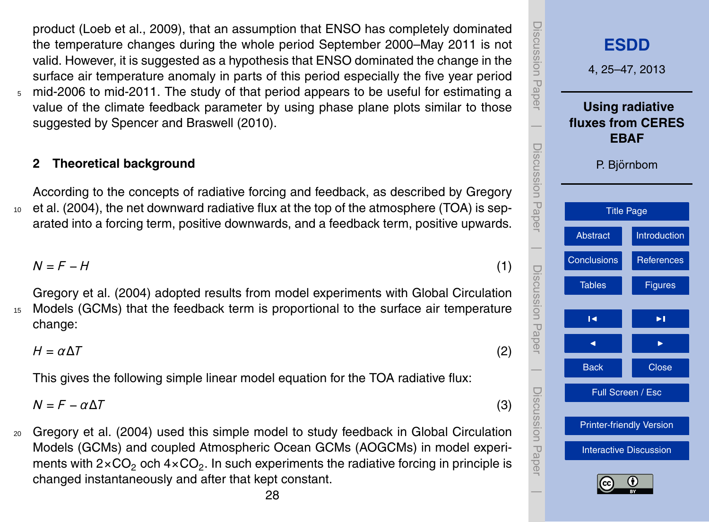<span id="page-3-0"></span>product [\(Loeb et al.,](#page-17-0) [2009\)](#page-17-0), that an assumption that ENSO has completely dominated the temperature changes during the whole period September 2000–May 2011 is not valid. However, it is suggested as a hypothesis that ENSO dominated the change in the surface air temperature anomaly in parts of this period especially the five year period <sup>5</sup> mid-2006 to mid-2011. The study of that period appears to be useful for estimating a value of the climate feedback parameter by using phase plane plots similar to those suggested by [Spencer and Braswell](#page-17-0) [\(2010\)](#page-17-0).

### **2 Theoretical background**

[A](#page-17-0)ccording to the concepts of radiative forcing and feedback, as described by [Gregory](#page-17-0) <sup>10</sup> [et al.](#page-17-0) [\(2004\)](#page-17-0), the net downward radiative flux at the top of the atmosphere (TOA) is separated into a forcing term, positive downwards, and a feedback term, positive upwards.

*N* = *F* − *H* (1)

[Gregory et al.](#page-17-0) [\(2004\)](#page-17-0) adopted results from model experiments with Global Circulation 15 Models (GCMs) that the feedback term is proportional to the surface air temperature change:

 $H = \alpha \Delta T$  (2)

This gives the following simple linear model equation for the TOA radiative flux:

 $N = F - \alpha \Delta T$  (3)

<sup>20</sup> [Gregory et al.](#page-17-0) [\(2004\)](#page-17-0) used this simple model to study feedback in Global Circulation Models (GCMs) and coupled Atmospheric Ocean GCMs (AOGCMs) in model experiments with 2×CO<sub>2</sub> och 4×CO<sub>2</sub>. In such experiments the radiative forcing in principle is changed instantaneously and after that kept constant.

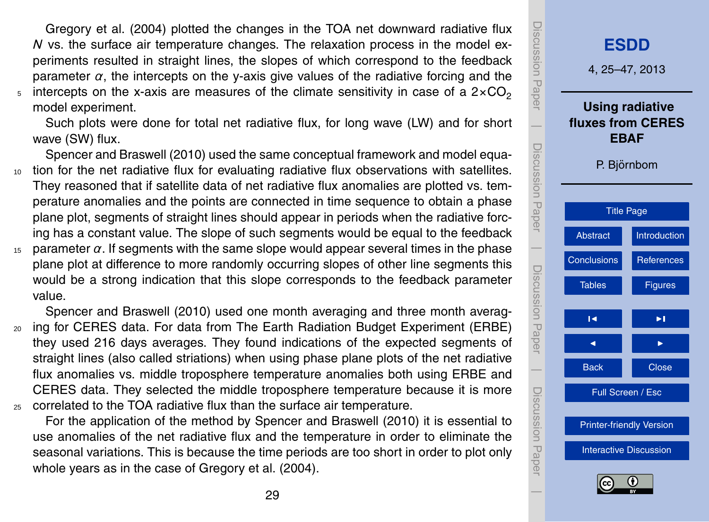<span id="page-4-0"></span>[Gregory et al.](#page-17-0) [\(2004\)](#page-17-0) plotted the changes in the TOA net downward radiative flux *N* vs. the surface air temperature changes. The relaxation process in the model experiments resulted in straight lines, the slopes of which correspond to the feedback parameter  $\alpha$ , the intercepts on the y-axis give values of the radiative forcing and the  $_5$  intercepts on the x-axis are measures of the climate sensitivity in case of a 2×CO<sub>2</sub> model experiment.

Such plots were done for total net radiative flux, for long wave (LW) and for short wave (SW) flux.

[Spencer and Braswell](#page-17-0) [\(2010\)](#page-17-0) used the same conceptual framework and model equa-<sup>10</sup> tion for the net radiative flux for evaluating radiative flux observations with satellites. They reasoned that if satellite data of net radiative flux anomalies are plotted vs. temperature anomalies and the points are connected in time sequence to obtain a phase plane plot, segments of straight lines should appear in periods when the radiative forcing has a constant value. The slope of such segments would be equal to the feedback

15 parameter  $\alpha$ . If segments with the same slope would appear several times in the phase plane plot at difference to more randomly occurring slopes of other line segments this would be a strong indication that this slope corresponds to the feedback parameter value.

[Spencer and Braswell](#page-17-0) [\(2010\)](#page-17-0) used one month averaging and three month averag-<sup>20</sup> ing for CERES data. For data from The Earth Radiation Budget Experiment (ERBE) they used 216 days averages. They found indications of the expected segments of straight lines (also called striations) when using phase plane plots of the net radiative flux anomalies vs. middle troposphere temperature anomalies both using ERBE and CERES data. They selected the middle troposphere temperature because it is more <sup>25</sup> correlated to the TOA radiative flux than the surface air temperature.

For the application of the method by [Spencer and Braswell](#page-17-0) [\(2010\)](#page-17-0) it is essential to use anomalies of the net radiative flux and the temperature in order to eliminate the seasonal variations. This is because the time periods are too short in order to plot only whole years as in the case of [Gregory et al.](#page-17-0) [\(2004\)](#page-17-0).

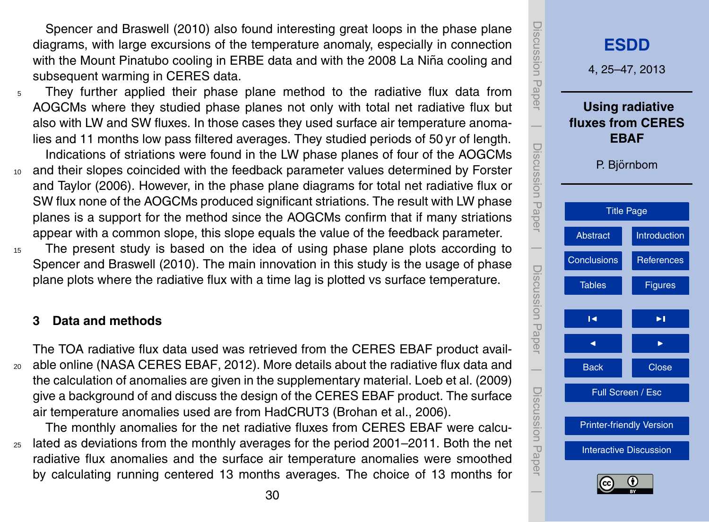<span id="page-5-0"></span>[Spencer and Braswell](#page-17-0) [\(2010\)](#page-17-0) also found interesting great loops in the phase plane diagrams, with large excursions of the temperature anomaly, especially in connection with the Mount Pinatubo cooling in ERBE data and with the 2008 La Niña cooling and subsequent warming in CERES data.

- <sup>5</sup> They further applied their phase plane method to the radiative flux data from AOGCMs where they studied phase planes not only with total net radiative flux but also with LW and SW fluxes. In those cases they used surface air temperature anomalies and 11 months low pass filtered averages. They studied periods of 50 yr of length. Indications of striations were found in the LW phase planes of four of the AOGCMs
- <sup>10</sup> [a](#page-16-0)nd their slopes coincided with the feedback parameter values determined by [Forster](#page-16-0) [and Taylor](#page-16-0) [\(2006\)](#page-16-0). However, in the phase plane diagrams for total net radiative flux or SW flux none of the AOGCMs produced significant striations. The result with LW phase planes is a support for the method since the AOGCMs confirm that if many striations appear with a common slope, this slope equals the value of the feedback parameter.
- <sup>15</sup> The present study is based on the idea of using phase plane plots according to [Spencer and Braswell](#page-17-0) [\(2010\)](#page-17-0). The main innovation in this study is the usage of phase plane plots where the radiative flux with a time lag is plotted vs surface temperature.

#### **3 Data and methods**

The TOA radiative flux data used was retrieved from the CERES EBAF product avail-<sup>20</sup> able online [\(NASA CERES EBAF,](#page-17-0) [2012\)](#page-17-0). More details about the radiative flux data and the calculation of anomalies are given in the supplementary material. [Loeb et al.](#page-17-0) [\(2009\)](#page-17-0) give a background of and discuss the design of the CERES EBAF product. The surface air temperature anomalies used are from HadCRUT3 [\(Brohan et al.,](#page-16-0) [2006\)](#page-16-0).

The monthly anomalies for the net radiative fluxes from CERES EBAF were calcu-<sup>25</sup> lated as deviations from the monthly averages for the period 2001–2011. Both the net radiative flux anomalies and the surface air temperature anomalies were smoothed by calculating running centered 13 months averages. The choice of 13 months for

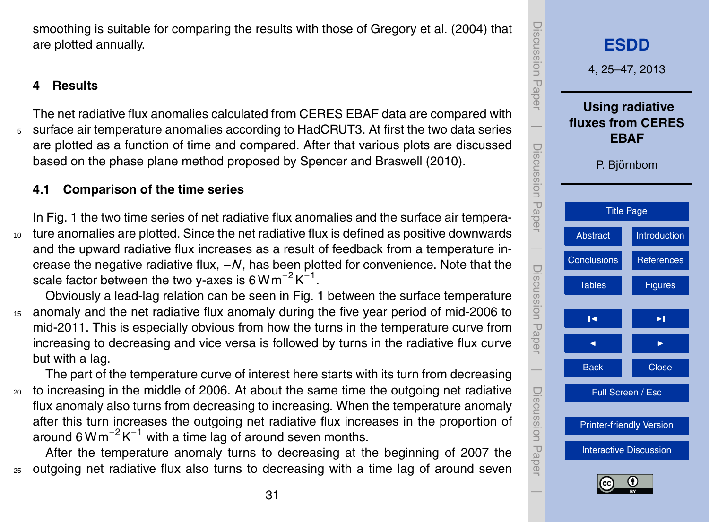<span id="page-6-0"></span>smoothing is suitable for comparing the results with those of [Gregory et al.](#page-17-0) [\(2004\)](#page-17-0) that are plotted annually.

### **4 Results**

The net radiative flux anomalies calculated from CERES EBAF data are compared with <sup>5</sup> surface air temperature anomalies according to HadCRUT3. At first the two data series are plotted as a function of time and compared. After that various plots are discussed based on the phase plane method proposed by [Spencer and Braswell](#page-17-0) [\(2010\)](#page-17-0).

### **4.1 Comparison of the time series**

In Fig. 1 the two time series of net radiative flux anomalies and the surface air tempera-<sup>10</sup> ture anomalies are plotted. Since the net radiative flux is defined as positive downwards and the upward radiative flux increases as a result of feedback from a temperature increase the negative radiative flux, −*N*, has been plotted for convenience. Note that the scale factor between the two y-axes is 6 Wm<sup>-2</sup> K<sup>-1</sup>.

Obviously a lead-lag relation can be seen in Fig. 1 between the surface temperature <sup>15</sup> anomaly and the net radiative flux anomaly during the five year period of mid-2006 to mid-2011. This is especially obvious from how the turns in the temperature curve from increasing to decreasing and vice versa is followed by turns in the radiative flux curve but with a lag.

The part of the temperature curve of interest here starts with its turn from decreasing <sup>20</sup> to increasing in the middle of 2006. At about the same time the outgoing net radiative flux anomaly also turns from decreasing to increasing. When the temperature anomaly after this turn increases the outgoing net radiative flux increases in the proportion of around 6 Wm<sup>-2</sup> K<sup>-1</sup> with a time lag of around seven months.

After the temperature anomaly turns to decreasing at the beginning of 2007 the <sup>25</sup> outgoing net radiative flux also turns to decreasing with a time lag of around seven

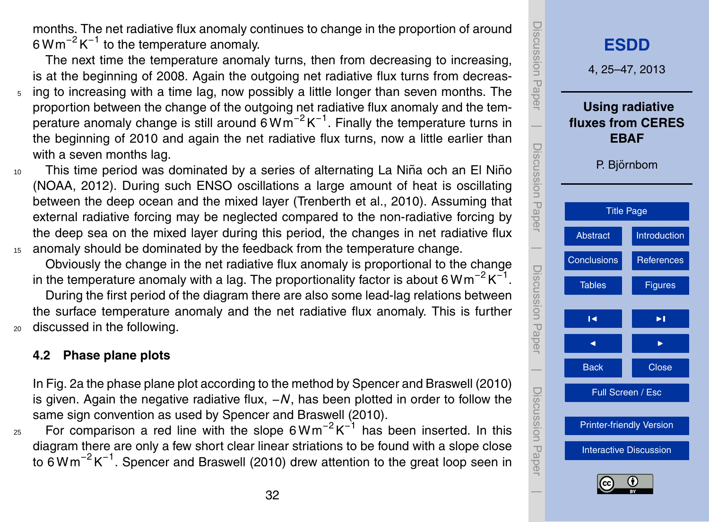Discussion Paper Discussion Paper**[ESDD](http://www.earth-syst-dynam-discuss.net)** 4, 25–47, 2013 **Using radiative**  $\overline{\phantom{a}}$ **fluxes from CERES EBAF** Discussion PaperDiscussion Paper P. Björnbom [Title Page](#page-0-0) [Abstract](#page-1-0) [Introduction](#page-1-0)  $\overline{\phantom{a}}$ [Conclusions](#page-15-0) [References](#page-16-0) Discussion PaperDiscussion Paper Tables **[Figures](#page-19-0)**  $\overline{\phantom{a}}$ J I  $\overline{\phantom{a}}$ Back **N** Close Discussion PaperDiscussion Paper Full Screen / Esc [Printer-friendly Version](http://www.earth-syst-dynam-discuss.net/4/25/2013/esdd-4-25-2013-print.pdf) [Interactive Discussion](http://www.earth-syst-dynam-discuss.net/4/25/2013/esdd-4-25-2013-discussion.html)

 $\overline{\phantom{a}}$ 

<span id="page-7-0"></span>months. The net radiative flux anomaly continues to change in the proportion of around 6 Wm<sup>-2</sup> K<sup>-1</sup> to the temperature anomaly.

The next time the temperature anomaly turns, then from decreasing to increasing, is at the beginning of 2008. Again the outgoing net radiative flux turns from decreas-

- $5\,$  ing to increasing with a time lag, now possibly a little longer than seven months. The proportion between the change of the outgoing net radiative flux anomaly and the temperature anomaly change is still around 6  $Wm^{-2}K^{-1}$ . Finally the temperature turns in the beginning of 2010 and again the net radiative flux turns, now a little earlier than with a seven months lag.
- $10<sub>10</sub>$  This time period was dominated by a series of alternating La Niña och an El Niño [\(NOAA,](#page-17-0) [2012\)](#page-17-0). During such ENSO oscillations a large amount of heat is oscillating between the deep ocean and the mixed layer [\(Trenberth et al.,](#page-18-0) [2010\)](#page-18-0). Assuming that external radiative forcing may be neglected compared to the non-radiative forcing by the deep sea on the mixed layer during this period, the changes in net radiative flux <sup>15</sup> anomaly should be dominated by the feedback from the temperature change.

Obviously the change in the net radiative flux anomaly is proportional to the change in the temperature anomaly with a lag. The proportionality factor is about 6 Wm<sup>-2</sup>K<sup>-1</sup>.

During the first period of the diagram there are also some lead-lag relations between the surface temperature anomaly and the net radiative flux anomaly. This is further <sup>20</sup> discussed in the following.

### **4.2 Phase plane plots**

In Fig. 2a the phase plane plot according to the method by [Spencer and Braswell](#page-17-0) [\(2010\)](#page-17-0) is given. Again the negative radiative flux, −*N*, has been plotted in order to follow the same sign convention as used by [Spencer and Braswell](#page-17-0) [\(2010\)](#page-17-0).

 $25$  For comparison a red line with the slope 6 Wm<sup>-2</sup>K<sup>-1</sup> has been inserted. In this diagram there are only a few short clear linear striations to be found with a slope close to 6Wm<sup>-2</sup>K<sup>-1</sup>. [Spencer and Braswell](#page-17-0) [\(2010\)](#page-17-0) drew attention to the great loop seen in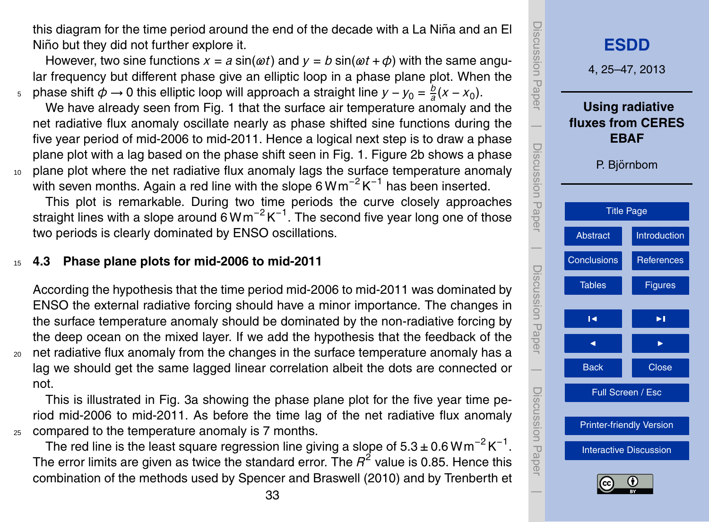<span id="page-8-0"></span>this diagram for the time period around the end of the decade with a La Niña and an El Niño but they did not further explore it.

However, two sine functions  $x = a \sin(\omega t)$  and  $y = b \sin(\omega t + \phi)$  with the same angular frequency but different phase give an elliptic loop in a phase plane plot. When the phase shift  $\phi \rightarrow 0$  this elliptic loop will approach a straight line  $y - y_0 = \frac{b}{a}$  $\frac{1}{2}$  phase shift  $\phi$  → 0 this elliptic loop will approach a straight line *y* − *y*<sub>0</sub> =  $\frac{b}{a}(x - x_0)$ .

We have already seen from Fig. 1 that the surface air temperature anomaly and the net radiative flux anomaly oscillate nearly as phase shifted sine functions during the five year period of mid-2006 to mid-2011. Hence a logical next step is to draw a phase plane plot with a lag based on the phase shift seen in Fig. 1. Figure 2b shows a phase 10 plane plot where the net radiative flux anomaly lags the surface temperature anomaly with seven months. Again a red line with the slope 6 Wm<sup>-2</sup>K<sup>-1</sup> has been inserted.

This plot is remarkable. During two time periods the curve closely approaches straight lines with a slope around 6 W m<sup>-2</sup> K<sup>-1</sup>. The second five year long one of those two periods is clearly dominated by ENSO oscillations.

### <sup>15</sup> **4.3 Phase plane plots for mid-2006 to mid-2011**

According the hypothesis that the time period mid-2006 to mid-2011 was dominated by ENSO the external radiative forcing should have a minor importance. The changes in the surface temperature anomaly should be dominated by the non-radiative forcing by the deep ocean on the mixed layer. If we add the hypothesis that the feedback of the <sub>20</sub> net radiative flux anomaly from the changes in the surface temperature anomaly has a lag we should get the same lagged linear correlation albeit the dots are connected or not.

This is illustrated in Fig. 3a showing the phase plane plot for the five year time period mid-2006 to mid-2011. As before the time lag of the net radiative flux anomaly <sup>25</sup> compared to the temperature anomaly is 7 months.

The red line is the least square regression line giving a slope of  $5.3 \pm 0.6$  Wm<sup>-2</sup>K<sup>-1</sup>. The error limits are given as twice the standard error. The  $R^2$  value is 0.85. Hence this [c](#page-18-0)ombination of the methods used by [Spencer and Braswell](#page-17-0) [\(2010\)](#page-17-0) and by [Trenberth et](#page-18-0)

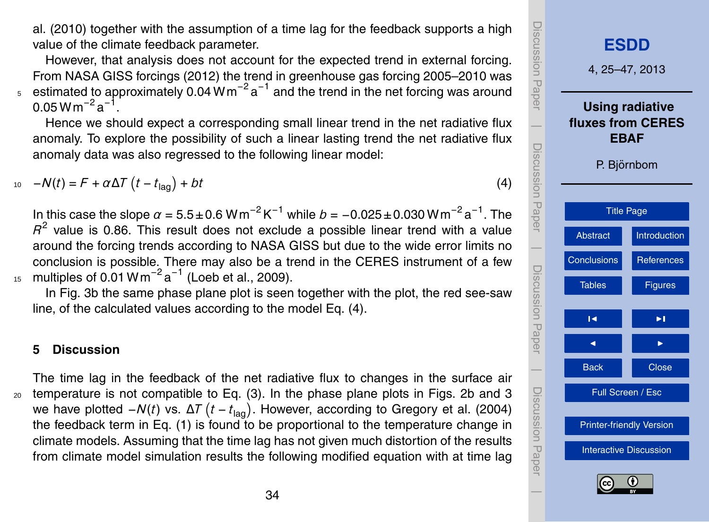34

<span id="page-9-0"></span>[al.](#page-18-0) [\(2010\) together with the assumption of a time lag for the feedback supports a high](#page-18-0) value of the climate feedback parameter.

However, that analysis does not account for the expected trend in external forcing. From [NASA GISS forcings](#page-17-0) [\(2012\)](#page-17-0) the trend in greenhouse gas forcing 2005–2010 was  $5$  estimated to approximately 0.04 Wm<sup>-2</sup> a<sup>-1</sup> and the trend in the net forcing was around  $0.05$  W m $^{-2}$  a $^{-1}$ .

Hence we should expect a corresponding small linear trend in the net radiative flux anomaly. To explore the possibility of such a linear lasting trend the net radiative flux anomaly data was also regressed to the following linear model:

# $-$ *N*(*t*) = *F* + *α*∆*T* (*t* − *t*<sub>lag</sub>) + *bt* (4)

In this case the slope  $\alpha$  = 5.5±0.6 Wm<sup>−2</sup> K<sup>-1</sup> while  $b$  = -0.025±0.030 Wm<sup>−2</sup> a<sup>-1</sup>. The  $R^2$  value is 0.86. This result does not exclude a possible linear trend with a value around the forcing trends according to NASA GISS but due to the wide error limits no conclusion is possible. There may also be a trend in the CERES instrument of a few  $15$  multiples of 0.01 Wm<sup>-2</sup> a<sup>-1</sup> [\(Loeb et al.,](#page-17-0) [2009\)](#page-17-0).

In Fig. 3b the same phase plane plot is seen together with the plot, the red see-saw line, of the calculated values according to the model Eq. (4).

### **5 Discussion**

The time lag in the feedback of the net radiative flux to changes in the surface air <sup>20</sup> temperature is not compatible to Eq. (3). In the phase plane plots in Figs. 2b and 3 we have plotted *−N*(*t*) vs. Δ*T* (*t* − *t*<sub>lag</sub>). However, according to [Gregory et al.](#page-17-0) [\(2004\)](#page-17-0) the feedback term in Eq. (1) is found to be proportional to the temperature change in climate models. Assuming that the time lag has not given much distortion of the results from climate model simulation results the following modified equation with at time lag

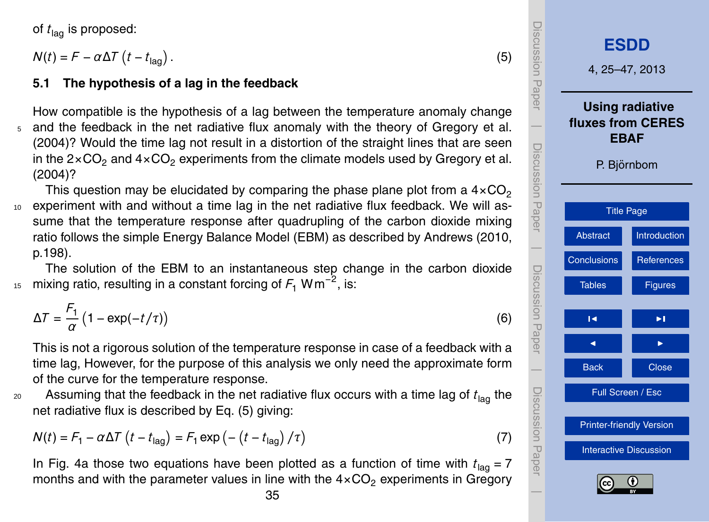<span id="page-10-0"></span>of  $t_{\text{laq}}$  is proposed:

 $N(t) = F - \alpha \Delta T \left(t - t_{\text{lag}}\right)$ .  $(5)$ 

### **5.1 The hypothesis of a lag in the feedback**

How compatible is the hypothesis of a lag between the temperature anomaly change <sup>5</sup> and the feedback in the net radiative flux anomaly with the theory of [Gregory et al.](#page-17-0) [\(2004\)](#page-17-0)? Would the time lag not result in a distortion of the straight lines that are seen in the  $2\times$ CO<sub>2</sub> and  $4\times$ CO<sub>2</sub> experiments from the climate models used by [Gregory et al.](#page-17-0) [\(2004\)](#page-17-0)?

This question may be elucidated by comparing the phase plane plot from a  $4 \times CO<sub>2</sub>$ <sup>10</sup> experiment with and without a time lag in the net radiative flux feedback. We will assume that the temperature response after quadrupling of the carbon dioxide mixing ratio follows the simple Energy Balance Model (EBM) as described by [Andrews](#page-16-0) [\(2010,](#page-16-0) p.198).

The solution of the EBM to an instantaneous step change in the carbon dioxide  $15$  mixing ratio, resulting in a constant forcing of  $F_1$  Wm<sup>-2</sup>, is:

$$
\Delta T = \frac{F_1}{\alpha} \left( 1 - \exp(-t/\tau) \right) \tag{6}
$$

This is not a rigorous solution of the temperature response in case of a feedback with a time lag, However, for the purpose of this analysis we only need the approximate form of the curve for the temperature response.

 $20$  Assuming that the feedback in the net radiative flux occurs with a time lag of  $t_{\text{la}}$  the net radiative flux is described by Eq. (5) giving:

$$
N(t) = F_1 - \alpha \Delta T \left( t - t_{\text{lag}} \right) = F_1 \exp \left( - \left( t - t_{\text{lag}} \right) / \tau \right) \tag{7}
$$

In Fig. 4a those two equations have been plotted as a function of time with  $t_{\text{lag}} = 7$ [m](#page-17-0)onths and with the parameter values in line with the  $4 \times CO<sub>2</sub>$  experiments in [Gregory](#page-17-0)

Discussion Paper Discussion Paper**[ESDD](http://www.earth-syst-dynam-discuss.net)** 4, 25–47, 2013 **Using radiative**  $\overline{\phantom{a}}$ **fluxes from CERES EBAF** Discussion PaperDiscussion Paper P. Björnbom [Title Page](#page-0-0) [Abstract](#page-1-0) [Introduction](#page-1-0)  $\overline{\phantom{a}}$ [Conclusions](#page-15-0) [References](#page-16-0) Discussion PaperDiscussion Paper Tables **[Figures](#page-19-0)**  $\overline{\phantom{a}}$ J I  $\overline{\phantom{a}}$ Back **N** Close Discussion PaperDiscussion Paper Full Screen / Esc [Printer-friendly Version](http://www.earth-syst-dynam-discuss.net/4/25/2013/esdd-4-25-2013-print.pdf) [Interactive Discussion](http://www.earth-syst-dynam-discuss.net/4/25/2013/esdd-4-25-2013-discussion.html)  $\overline{\phantom{a}}$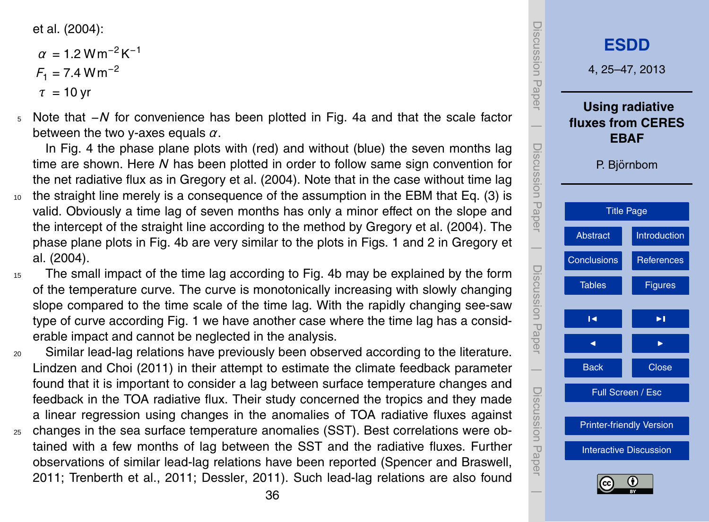<span id="page-11-0"></span>[et al.](#page-17-0) [\(2004\):](#page-17-0)

 $\alpha = 1.2$  Wm<sup>-2</sup> K<sup>-1</sup>  $F_1$  = 7.4 Wm<sup>-2</sup>  $\tau = 10$  vr

<sup>5</sup> Note that −*N* for convenience has been plotted in Fig. 4a and that the scale factor between the two y-axes equals *α*.

In Fig. 4 the phase plane plots with (red) and without (blue) the seven months lag time are shown. Here *N* has been plotted in order to follow same sign convention for the net radiative flux as in [Gregory et al.](#page-17-0) [\(2004\)](#page-17-0). Note that in the case without time lag <sup>10</sup> the straight line merely is a consequence of the assumption in the EBM that Eq. (3) is

- valid. Obviously a time lag of seven months has only a minor effect on the slope and the intercept of the straight line according to the method by [Gregory et al.](#page-17-0) [\(2004\)](#page-17-0). The [p](#page-17-0)hase plane plots in Fig. 4b are very similar to the plots in Figs. 1 and 2 in [Gregory et](#page-17-0) [al.](#page-17-0) [\(2004\)](#page-17-0).
- <sup>15</sup> The small impact of the time lag according to Fig. 4b may be explained by the form of the temperature curve. The curve is monotonically increasing with slowly changing slope compared to the time scale of the time lag. With the rapidly changing see-saw type of curve according Fig. 1 we have another case where the time lag has a considerable impact and cannot be neglected in the analysis.
- <sup>20</sup> Similar lead-lag relations have previously been observed according to the literature. [Lindzen and Choi](#page-17-0) [\(2011\)](#page-17-0) in their attempt to estimate the climate feedback parameter found that it is important to consider a lag between surface temperature changes and feedback in the TOA radiative flux. Their study concerned the tropics and they made a linear regression using changes in the anomalies of TOA radiative fluxes against
- <sup>25</sup> changes in the sea surface temperature anomalies (SST). Best correlations were obtained with a few months of lag between the SST and the radiative fluxes. Further observations of similar lead-lag relations have been reported [\(Spencer and Braswell,](#page-17-0) [2011;](#page-17-0) [Trenberth et al.,](#page-18-0) [2011;](#page-18-0) [Dessler,](#page-16-0) [2011\)](#page-16-0). Such lead-lag relations are also found

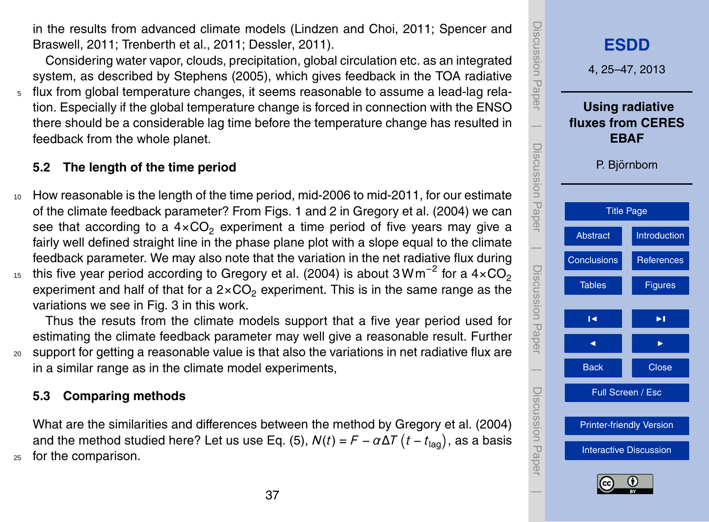<span id="page-12-0"></span>[i](#page-17-0)n the results from advanced climate models [\(Lindzen and Choi,](#page-17-0) [2011;](#page-17-0) [Spencer and](#page-17-0) [Braswell,](#page-17-0) [2011;](#page-17-0) [Trenberth et al.,](#page-18-0) [2011;](#page-18-0) [Dessler,](#page-16-0) [2011\)](#page-16-0).

Considering water vapor, clouds, precipitation, global circulation etc. as an integrated system, as described by [Stephens](#page-18-0) [\(2005\)](#page-18-0), which gives feedback in the TOA radiative

<sup>5</sup> flux from global temperature changes, it seems reasonable to assume a lead-lag relation. Especially if the global temperature change is forced in connection with the ENSO there should be a considerable lag time before the temperature change has resulted in feedback from the whole planet.

# **5.2 The length of the time period**

- <sup>10</sup> How reasonable is the length of the time period, mid-2006 to mid-2011, for our estimate of the climate feedback parameter? From Figs. 1 and 2 in [Gregory et al.](#page-17-0) [\(2004\)](#page-17-0) we can see that according to a  $4 \times CO<sub>2</sub>$  experiment a time period of five years may give a fairly well defined straight line in the phase plane plot with a slope equal to the climate feedback parameter. We may also note that the variation in the net radiative flux during
- this five year period according to [Gregory et al.](#page-17-0) [\(2004\)](#page-17-0) is about 3 Wm<sup>-2</sup> for a 4×CO<sub>2</sub> 15 experiment and half of that for a  $2\times$ CO<sub>2</sub> experiment. This is in the same range as the variations we see in Fig. 3 in this work.

Thus the resuts from the climate models support that a five year period used for estimating the climate feedback parameter may well give a reasonable result. Further <sup>20</sup> support for getting a reasonable value is that also the variations in net radiative flux are in a similar range as in the climate model experiments,

# **5.3 Comparing methods**

What are the similarities and differences between the method by [Gregory et al.](#page-17-0) [\(2004\)](#page-17-0) and the method studied here? Let us use Eq. (5),  $\bm{N}(t) = \bm{\mathit{F}} - \alpha \Delta \bm{\mathit{T}}\left(t - t_\text{lag}\right)$ , as a basis <sup>25</sup> for the comparison.

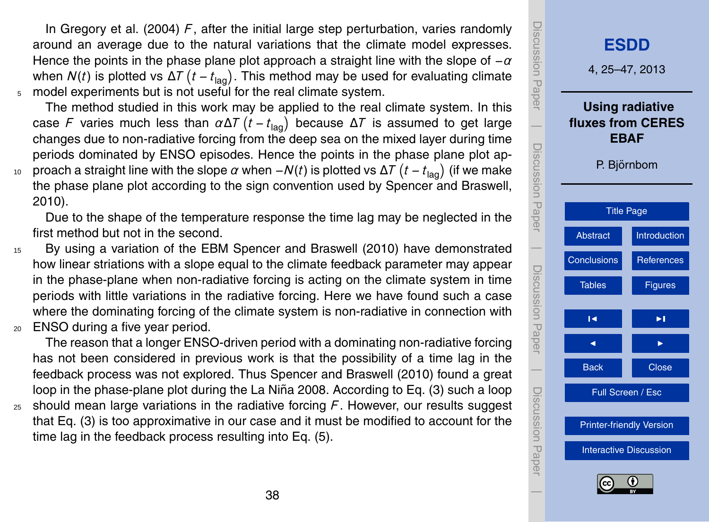<span id="page-13-0"></span>In [Gregory et al.](#page-17-0) [\(2004\)](#page-17-0) *F* , after the initial large step perturbation, varies randomly around an average due to the natural variations that the climate model expresses. Hence the points in the phase plane plot approach a straight line with the slope of −*α* when *N*(*t*) is plotted vs ∆*T t* − *t*lag . This method may be used for evaluating climate <sup>5</sup> model experiments but is not useful for the real climate system.

The method studied in this work may be applied to the real climate system. In this case *F* varies much less than *α*∆*T t* − *t*lag because ∆*T* is assumed to get large changes due to non-radiative forcing from the deep sea on the mixed layer during time periods dominated by ENSO episodes. Hence the points in the phase plane plot approach a straight line with the slope *α* when −*N*(*t*) is plotted vs ∆*T t* − *t*lag <sup>10</sup> (if we make the phase plane plot according to the sign convention used by [Spencer and Braswell,](#page-17-0) [2010\)](#page-17-0).

Due to the shape of the temperature response the time lag may be neglected in the first method but not in the second.

<sup>15</sup> By using a variation of the EBM [Spencer and Braswell](#page-17-0) [\(2010\)](#page-17-0) have demonstrated how linear striations with a slope equal to the climate feedback parameter may appear in the phase-plane when non-radiative forcing is acting on the climate system in time periods with little variations in the radiative forcing. Here we have found such a case where the dominating forcing of the climate system is non-radiative in connection with <sup>20</sup> ENSO during a five year period.

The reason that a longer ENSO-driven period with a dominating non-radiative forcing has not been considered in previous work is that the possibility of a time lag in the feedback process was not explored. Thus [Spencer and Braswell](#page-17-0) [\(2010\)](#page-17-0) found a great loop in the phase-plane plot during the La Niña 2008. According to Eq. (3) such a loop

<sup>25</sup> should mean large variations in the radiative forcing *F* . However, our results suggest that Eq. (3) is too approximative in our case and it must be modified to account for the time lag in the feedback process resulting into Eq. (5).

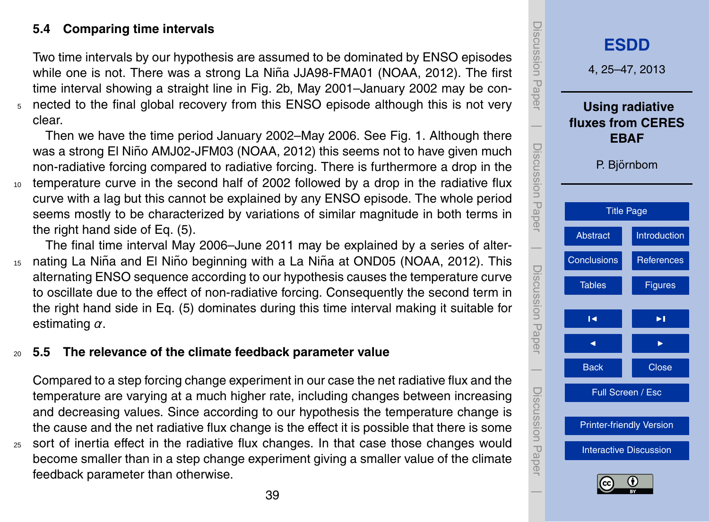### <span id="page-14-0"></span>**5.4 Comparing time intervals**

Two time intervals by our hypothesis are assumed to be dominated by ENSO episodes while one is not. There was a strong La Niña JJA98-FMA01 ([NOAA,](#page-17-0) [2012\)](#page-17-0). The first time interval showing a straight line in Fig. 2b, May 2001–January 2002 may be con-<sup>5</sup> nected to the final global recovery from this ENSO episode although this is not very clear.

Then we have the time period January 2002–May 2006. See Fig. 1. Although there was a strong El Niño AMJ02-JFM03 ([NOAA,](#page-17-0) [2012\)](#page-17-0) this seems not to have given much non-radiative forcing compared to radiative forcing. There is furthermore a drop in the 10 temperature curve in the second half of 2002 followed by a drop in the radiative flux curve with a lag but this cannot be explained by any ENSO episode. The whole period seems mostly to be characterized by variations of similar magnitude in both terms in the right hand side of Eq. (5).

The final time interval May 2006–June 2011 may be explained by a series of alter-15 nating La Niña and El Niño beginning with a La Niña at OND05 ([NOAA,](#page-17-0) [2012\)](#page-17-0). This alternating ENSO sequence according to our hypothesis causes the temperature curve to oscillate due to the effect of non-radiative forcing. Consequently the second term in the right hand side in Eq. (5) dominates during this time interval making it suitable for estimating *α*.

### <sup>20</sup> **5.5 The relevance of the climate feedback parameter value**

Compared to a step forcing change experiment in our case the net radiative flux and the temperature are varying at a much higher rate, including changes between increasing and decreasing values. Since according to our hypothesis the temperature change is the cause and the net radiative flux change is the effect it is possible that there is some

<sup>25</sup> sort of inertia effect in the radiative flux changes. In that case those changes would become smaller than in a step change experiment giving a smaller value of the climate feedback parameter than otherwise.

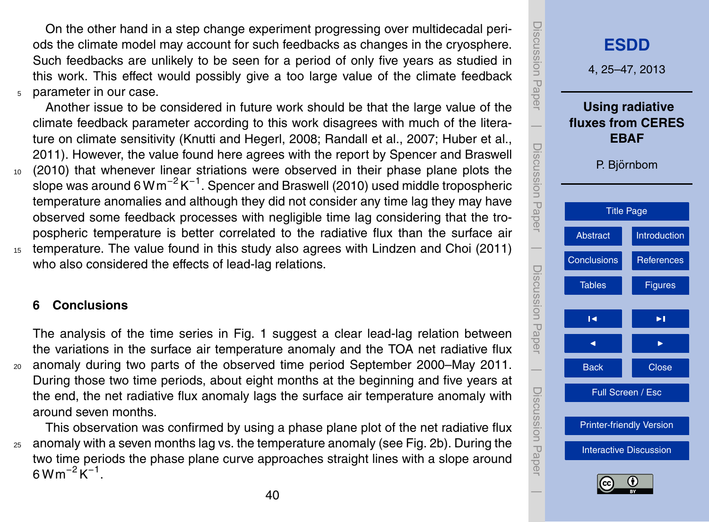<span id="page-15-0"></span>On the other hand in a step change experiment progressing over multidecadal periods the climate model may account for such feedbacks as changes in the cryosphere. Such feedbacks are unlikely to be seen for a period of only five years as studied in this work. This effect would possibly give a too large value of the climate feedback <sup>5</sup> parameter in our case.

Another issue to be considered in future work should be that the large value of the climate feedback parameter according to this work disagrees with much of the literature on climate sensitivity [\(Knutti and Hegerl,](#page-17-0) [2008;](#page-17-0) [Randall et al.,](#page-18-0) [2007;](#page-18-0) [Huber et al.,](#page-17-0) [2011\)](#page-17-0). However, the value found here agrees with the report by [Spencer and Braswell](#page-17-0) <sup>10</sup> [\(2010\)](#page-17-0) that whenever linear striations were observed in their phase plane plots the slope was around 6 Wm $^{-2}$ K $^{-1}$ . [Spencer and Braswell](#page-17-0) [\(2010\)](#page-17-0) used middle tropospheric temperature anomalies and although they did not consider any time lag they may have observed some feedback processes with negligible time lag considering that the tropospheric temperature is better correlated to the radiative flux than the surface air <sup>15</sup> temperature. The value found in this study also agrees with [Lindzen and Choi](#page-17-0) [\(2011\)](#page-17-0)

who also considered the effects of lead-lag relations.

### **6 Conclusions**

The analysis of the time series in Fig. 1 suggest a clear lead-lag relation between the variations in the surface air temperature anomaly and the TOA net radiative flux <sup>20</sup> anomaly during two parts of the observed time period September 2000–May 2011. During those two time periods, about eight months at the beginning and five years at the end, the net radiative flux anomaly lags the surface air temperature anomaly with around seven months.

This observation was confirmed by using a phase plane plot of the net radiative flux <sup>25</sup> anomaly with a seven months lag vs. the temperature anomaly (see Fig. 2b). During the two time periods the phase plane curve approaches straight lines with a slope around  $6$  W m<sup>-2</sup> K<sup>-1</sup>.

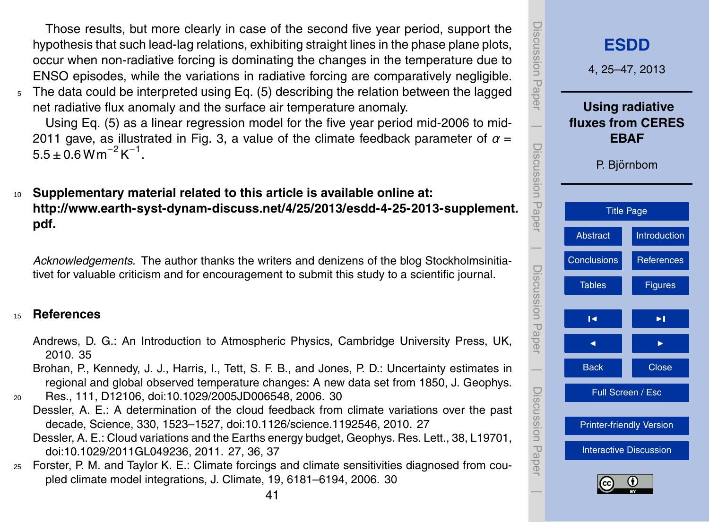<span id="page-16-0"></span>Those results, but more clearly in case of the second five year period, support the hypothesis that such lead-lag relations, exhibiting straight lines in the phase plane plots, occur when non-radiative forcing is dominating the changes in the temperature due to ENSO episodes, while the variations in radiative forcing are comparatively negligible.

<sup>5</sup> The data could be interpreted using Eq. (5) describing the relation between the lagged net radiative flux anomaly and the surface air temperature anomaly.

Using Eq. (5) as a linear regression model for the five year period mid-2006 to mid-2011 gave, as illustrated in Fig. 3, a value of the climate feedback parameter of  $\alpha$  =  $5.5 \pm 0.6$  W m<sup>-2</sup> K<sup>-1</sup>.

<sup>10</sup> **Supplementary material related to this article is available online at: [http://www.earth-syst-dynam-discuss.net/4/25/2013/esdd-4-25-2013-supplement](http://www.earth-syst-dynam-discuss.net/4/25/2013/esdd-4-25-2013-supplement.pdf). [pdf.](http://www.earth-syst-dynam-discuss.net/4/25/2013/esdd-4-25-2013-supplement.pdf)**

*Acknowledgements.* The author thanks the writers and denizens of the blog Stockholmsinitiativet for valuable criticism and for encouragement to submit this study to a scientific journal.

#### <sup>15</sup> **References**

- Andrews, D. G.: An Introduction to Atmospheric Physics, Cambridge University Press, UK, 2010. [35](#page-10-0)
- Brohan, P., Kennedy, J. J., Harris, I., Tett, S. F. B., and Jones, P. D.: Uncertainty estimates in regional and global observed temperature changes: A new data set from 1850, J. Geophys.
- <sup>20</sup> Res., 111, D12106, [doi:10.1029/2005JD006548,](http://dx.doi.org/10.1029/2005JD006548) 2006. [30](#page-5-0)
	- Dessler, A. E.: A determination of the cloud feedback from climate variations over the past decade, Science, 330, 1523–1527, [doi:10.1126/science.1192546,](http://dx.doi.org/10.1126/science.1192546) 2010. [27](#page-2-0)
		- Dessler, A. E.: Cloud variations and the Earths energy budget, Geophys. Res. Lett., 38, L19701, [doi:10.1029/2011GL049236,](http://dx.doi.org/10.1029/2011GL049236) 2011. [27,](#page-2-0) [36,](#page-11-0) [37](#page-12-0)
- <sup>25</sup> Forster, P. M. and Taylor K. E.: Climate forcings and climate sensitivities diagnosed from coupled climate model integrations, J. Climate, 19, 6181–6194, 2006. [30](#page-5-0)

| <b>ISCUSSION Paper</b>            | <b>ESDD</b><br>4, 25-47, 2013                                                    |                   |  |
|-----------------------------------|----------------------------------------------------------------------------------|-------------------|--|
| Discussion<br><b>Discussion</b>   | <b>Using radiative</b><br><b>fluxes from CERES</b><br><b>EBAF</b><br>P. Björnbom |                   |  |
|                                   | <b>Title Page</b>                                                                |                   |  |
|                                   | <b>Abstract</b>                                                                  | Introduction      |  |
|                                   | Conclusions                                                                      | <b>References</b> |  |
| Discussion Paper                  | <b>Tables</b>                                                                    | <b>Figures</b>    |  |
|                                   | Н                                                                                | ▶∣                |  |
|                                   | ◀                                                                                |                   |  |
|                                   | <b>Back</b>                                                                      | <b>Close</b>      |  |
| Discussion<br>Discussion<br>Laber | Full Screen / Esc                                                                |                   |  |
|                                   | <b>Printer-friendly Version</b>                                                  |                   |  |
|                                   | <b>Interactive Discussion</b>                                                    |                   |  |
|                                   | (cc                                                                              | $\bf(i)$          |  |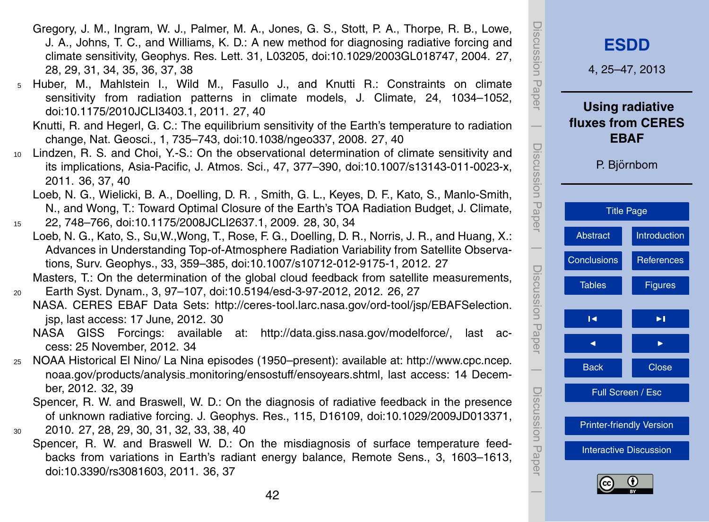- <span id="page-17-0"></span>Gregory, J. M., Ingram, W. J., Palmer, M. A., Jones, G. S., Stott, P. A., Thorpe, R. B., Lowe, J. A., Johns, T. C., and Williams, K. D.: A new method for diagnosing radiative forcing and climate sensitivity, Geophys. Res. Lett. 31, L03205, [doi:10.1029/2003GL018747,](http://dx.doi.org/10.1029/2003GL018747) 2004. [27,](#page-2-0) [28,](#page-3-0) [29,](#page-4-0) [31,](#page-6-0) [34,](#page-9-0) [35,](#page-10-0) [36,](#page-11-0) [37,](#page-12-0) [38](#page-13-0)
- <sup>5</sup> Huber, M., Mahlstein I., Wild M., Fasullo J., and Knutti R.: Constraints on climate sensitivity from radiation patterns in climate models, J. Climate, 24, 1034–1052, [doi:10.1175/2010JCLI3403.1,](http://dx.doi.org/10.1175/2010JCLI3403.1) 2011. [27,](#page-2-0) [40](#page-15-0)
	- Knutti, R. and Hegerl, G. C.: The equilibrium sensitivity of the Earth's temperature to radiation change, Nat. Geosci., 1, 735–743, [doi:10.1038/ngeo337,](http://dx.doi.org/10.1038/ngeo337) 2008. [27,](#page-2-0) [40](#page-15-0)
- <sup>10</sup> Lindzen, R. S. and Choi, Y.-S.: On the observational determination of climate sensitivity and its implications, Asia-Pacific, J. Atmos. Sci., 47, 377–390, [doi:10.1007/s13143-011-0023-x,](http://dx.doi.org/10.1007/s13143-011-0023-x) 2011. [36,](#page-11-0) [37,](#page-12-0) [40](#page-15-0)
	- Loeb, N. G., Wielicki, B. A., Doelling, D. R. , Smith, G. L., Keyes, D. F., Kato, S., Manlo-Smith, N., and Wong, T.: Toward Optimal Closure of the Earth's TOA Radiation Budget, J. Climate,
- <sup>15</sup> 22, 748–766, [doi:10.1175/2008JCLI2637.1,](http://dx.doi.org/10.1175/2008JCLI2637.1) 2009. [28,](#page-3-0) [30,](#page-5-0) [34](#page-9-0)
	- Loeb, N. G., Kato, S., Su,W.,Wong, T., Rose, F. G., Doelling, D. R., Norris, J. R., and Huang, X.: Advances in Understanding Top-of-Atmosphere Radiation Variability from Satellite Observations, Surv. Geophys., 33, 359–385, [doi:10.1007/s10712-012-9175-1,](http://dx.doi.org/10.1007/s10712-012-9175-1) 2012. [27](#page-2-0) Masters, T.: On the determination of the global cloud feedback from satellite measurements,
- <sup>20</sup> Earth Syst. Dynam., 3, 97–107, [doi:10.5194/esd-3-97-2012,](http://dx.doi.org/10.5194/esd-3-97-2012) 2012. [26,](#page-1-0) [27](#page-2-0) [N](http://ceres-tool.larc.nasa.gov/ord-tool/jsp/EBAFSelection.jsp)ASA. CERES EBAF Data Sets: [http://ceres-tool.larc.nasa.gov/ord-tool/jsp/EBAFSelection.](http://ceres-tool.larc.nasa.gov/ord-tool/jsp/EBAFSelection.jsp) [jsp,](http://ceres-tool.larc.nasa.gov/ord-tool/jsp/EBAFSelection.jsp) last access: 17 June, 2012. [30](#page-5-0)
	- NASA GISS Forcings: available at: [http://data.giss.nasa.gov/modelforce/,](http://data.giss.nasa.gov/modelforce/) last access: 25 November, 2012. [34](#page-9-0)
- <sup>25</sup> [N](http://www.cpc.ncep.noaa.gov/products/analysis_monitoring/ensostuff/ensoyears.shtml)OAA Historical El Nino/ La Nina episodes (1950–present): available at: [http://www.cpc.ncep.](http://www.cpc.ncep.noaa.gov/products/analysis_monitoring/ensostuff/ensoyears.shtml) [noaa.gov/products/analysis](http://www.cpc.ncep.noaa.gov/products/analysis_monitoring/ensostuff/ensoyears.shtml) monitoring/ensostuff/ensoyears.shtml, last access: 14 December, 2012. [32,](#page-7-0) [39](#page-14-0)
	- Spencer, R. W. and Braswell, W. D.: On the diagnosis of radiative feedback in the presence of unknown radiative forcing. J. Geophys. Res., 115, D16109, [doi:10.1029/2009JD013371,](http://dx.doi.org/10.1029/2009JD013371)
- <sup>30</sup> 2010. [27,](#page-2-0) [28,](#page-3-0) [29,](#page-4-0) [30,](#page-5-0) [31,](#page-6-0) [32,](#page-7-0) [33,](#page-8-0) [38,](#page-13-0) [40](#page-15-0)
	- Spencer, R. W. and Braswell W. D.: On the misdiagnosis of surface temperature feedbacks from variations in Earth's radiant energy balance, Remote Sens., 3, 1603–1613, [doi:10.3390/rs3081603,](http://dx.doi.org/10.3390/rs3081603) 2011. [36,](#page-11-0) [37](#page-12-0)

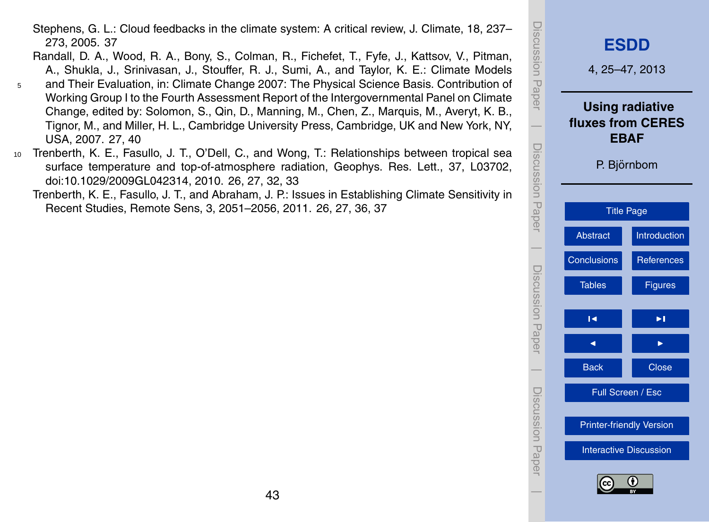- <span id="page-18-0"></span>Stephens, G. L.: Cloud feedbacks in the climate system: A critical review, J. Climate, 18, 237– 273, 2005. [37](#page-12-0)
- Randall, D. A., Wood, R. A., Bony, S., Colman, R., Fichefet, T., Fyfe, J., Kattsov, V., Pitman, A., Shukla, J., Srinivasan, J., Stouffer, R. J., Sumi, A., and Taylor, K. E.: Climate Models
- <sup>5</sup> and Their Evaluation, in: Climate Change 2007: The Physical Science Basis. Contribution of Working Group I to the Fourth Assessment Report of the Intergovernmental Panel on Climate Change, edited by: Solomon, S., Qin, D., Manning, M., Chen, Z., Marquis, M., Averyt, K. B., Tignor, M., and Miller, H. L., Cambridge University Press, Cambridge, UK and New York, NY, USA, 2007. [27,](#page-2-0) [40](#page-15-0)
- <sup>10</sup> Trenberth, K. E., Fasullo, J. T., O'Dell, C., and Wong, T.: Relationships between tropical sea surface temperature and top-of-atmosphere radiation, Geophys. Res. Lett., 37, L03702, [doi:10.1029/2009GL042314,](http://dx.doi.org/10.1029/2009GL042314) 2010. [26,](#page-1-0) [27,](#page-2-0) [32,](#page-7-0) [33](#page-8-0)
	- Trenberth, K. E., Fasullo, J. T., and Abraham, J. P.: Issues in Establishing Climate Sensitivity in Recent Studies, Remote Sens, 3, 2051–2056, 2011. [26,](#page-1-0) [27,](#page-2-0) [36,](#page-11-0) [37](#page-12-0)

| iscussion Paper     | <b>ESDD</b><br>4, 25-47, 2013                                                    |                   |  |
|---------------------|----------------------------------------------------------------------------------|-------------------|--|
| Discussion<br>Paper | <b>Using radiative</b><br><b>fluxes from CERES</b><br><b>EBAF</b><br>P. Björnbom |                   |  |
|                     | <b>Title Page</b>                                                                |                   |  |
|                     | <b>Abstract</b>                                                                  | Introduction      |  |
|                     | <b>Conclusions</b>                                                               | <b>References</b> |  |
| Discussion<br>Paper | <b>Tables</b>                                                                    | <b>Figures</b>    |  |
|                     | Н                                                                                | ⊵j                |  |
|                     |                                                                                  |                   |  |
|                     | <b>Back</b>                                                                      | <b>Close</b>      |  |
| Discussion Paper    | Full Screen / Esc                                                                |                   |  |
|                     | <b>Printer-friendly Version</b>                                                  |                   |  |
|                     | <b>Interactive Discussion</b><br>0<br>(cc                                        |                   |  |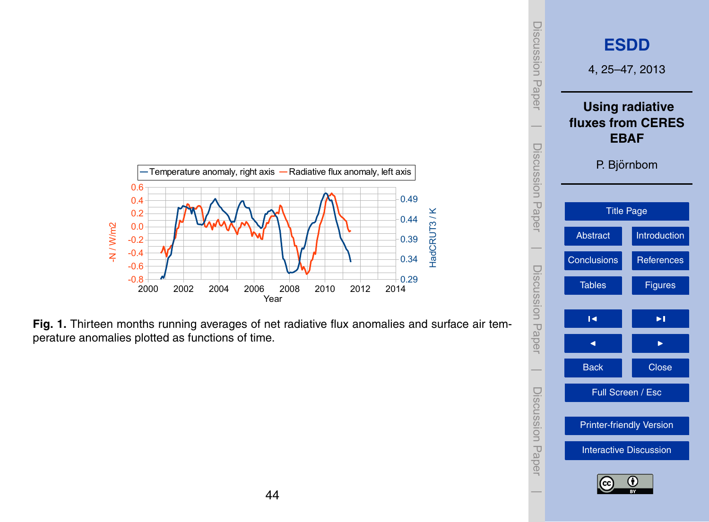<span id="page-19-0"></span>



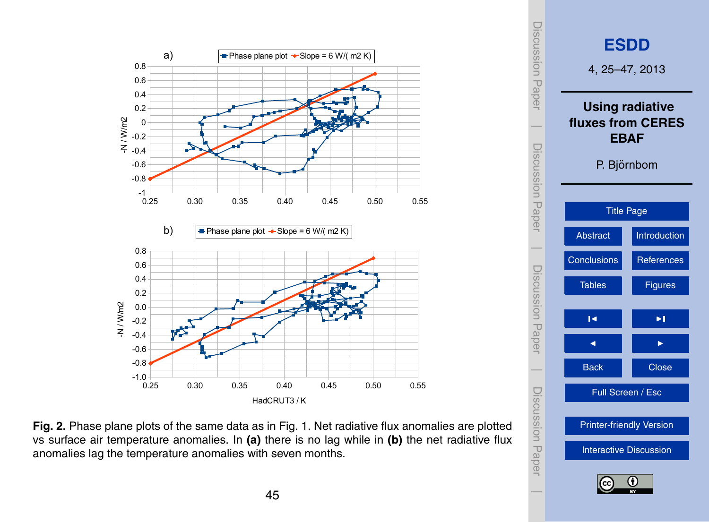



**[ESDD](http://www.earth-syst-dynam-discuss.net)**

4, 25–47, 2013

Discussion Paper

Discussion Paper

 $\overline{\phantom{a}}$ 

Discussion Paper

Discussion Paper

 $\overline{\phantom{a}}$ 

**Using radiative fluxes from CERES EBAF**

P. Björnbom

[Title Page](#page-0-0)

[Abstract](#page-1-0) [Introduction](#page-1-0)

[Conclusions](#page-15-0) [References](#page-16-0)

Tables **[Figures](#page-19-0)** 

**Fig. 2.** Phase plane plots of the same data as in Fig. 1. Net radiative flux anomalies are plotted vs surface air temperature anomalies. In **(a)** there is no lag while in **(b)** the net radiative flux anomalies lag the temperature anomalies with seven months.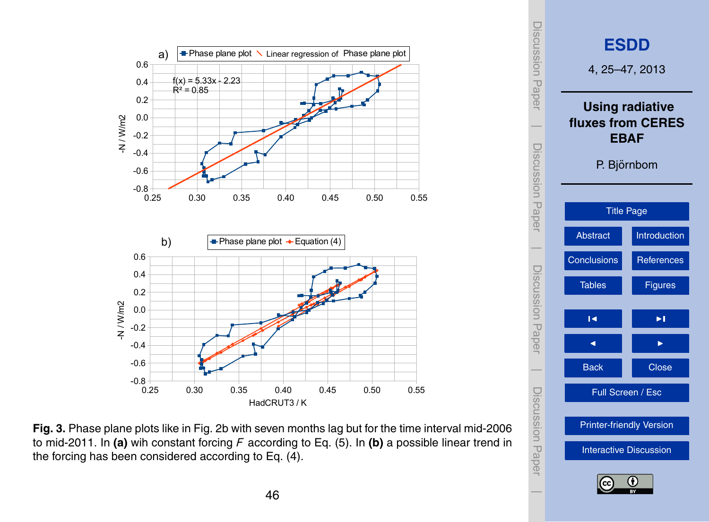

**Fig. 3.** Phase plane plots like in Fig. 2b with seven months lag but for the time interval mid-2006 to mid-2011. In **(a)** wih constant forcing *F* according to Eq. (5). In **(b)** a possible linear trend in the forcing has been considered according to Eq. (4).